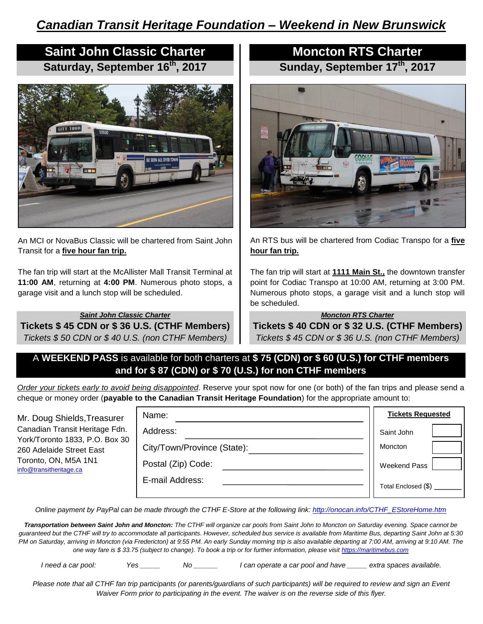# **Saint John Classic Charter Saturday, September 16th, 2017**



An MCI or NovaBus Classic will be chartered from Saint John Transit for a **five hour fan trip.** 

The fan trip will start at the McAllister Mall Transit Terminal at **11:00 AM**, returning at **4:00 PM**. Numerous photo stops, a garage visit and a lunch stop will be scheduled.

*Saint John Classic Charter* **Tickets \$ 45 CDN or \$ 36 U.S. (CTHF Members)** *Tickets \$ 50 CDN or \$ 40 U.S. (non CTHF Members)*

# **Moncton RTS Charter Sunday, September 17th, 2017**



An RTS bus will be chartered from Codiac Transpo for a **five hour fan trip.**

The fan trip will start at **1111 Main St.,** the downtown transfer point for Codiac Transpo at 10:00 AM, returning at 3:00 PM. Numerous photo stops, a garage visit and a lunch stop will be scheduled.

#### *Moncton RTS Charter*

**Tickets \$ 40 CDN or \$ 32 U.S. (CTHF Members)** *Tickets \$ 45 CDN or \$ 36 U.S. (non CTHF Members)*

# A **WEEKEND PASS** is available for both charters at **\$ 75 (CDN) or \$ 60 (U.S.) for CTHF members and for \$ 87 (CDN) or \$ 70 (U.S.) for non CTHF members**

*Order your tickets early to avoid being disappointed*. Reserve your spot now for one (or both) of the fan trips and please send a cheque or money order (**payable to the Canadian Transit Heritage Foundation**) for the appropriate amount to:

| Mr. Doug Shields, Treasurer<br>Canadian Transit Heritage Fdn.<br>York/Toronto 1833, P.O. Box 30<br>260 Adelaide Street East<br>Toronto, ON, M5A 1N1<br>info@transitheritage.ca | Name:                       | <b>Tickets Requested</b> |
|--------------------------------------------------------------------------------------------------------------------------------------------------------------------------------|-----------------------------|--------------------------|
|                                                                                                                                                                                | Address:                    | Saint John               |
|                                                                                                                                                                                | City/Town/Province (State): | Moncton                  |
|                                                                                                                                                                                | Postal (Zip) Code:          | Weekend Pass             |
|                                                                                                                                                                                | E-mail Address:             | Total Enclosed (\$)      |

*Online payment by PayPal can be made through the CTHF E-Store at the following link: [http://onocan.info/CTHF\\_EStoreHome.htm](http://onocan.info/CTHF_EStoreHome.htm)*

*Transportation between Saint John and Moncton: The CTHF will organize car pools from Saint John to Moncton on Saturday evening. Space cannot be guaranteed but the CTHF will try to accommodate all participants. However, scheduled bus service is available from Maritime Bus, departing Saint John at 5:30 PM on Saturday, arriving in Moncton (via Fredericton) at 9:55 PM. An early Sunday morning trip is also available departing at 7:00 AM, arriving at 9:10 AM. The one way fare is \$ 33.75 (subject to change). To book a trip or for further information, please visit [https://maritimebus.com](https://maritimebus.com/)*

*I need a car pool: Yes \_\_\_\_\_ No \_\_\_\_\_\_ I can operate a car pool and have \_\_\_\_\_ extra spaces available.*

*Please note that all CTHF fan trip participants (or parents/guardians of such participants) will be required to review and sign an Event Waiver Form prior to participating in the event. The waiver is on the reverse side of this flyer.*